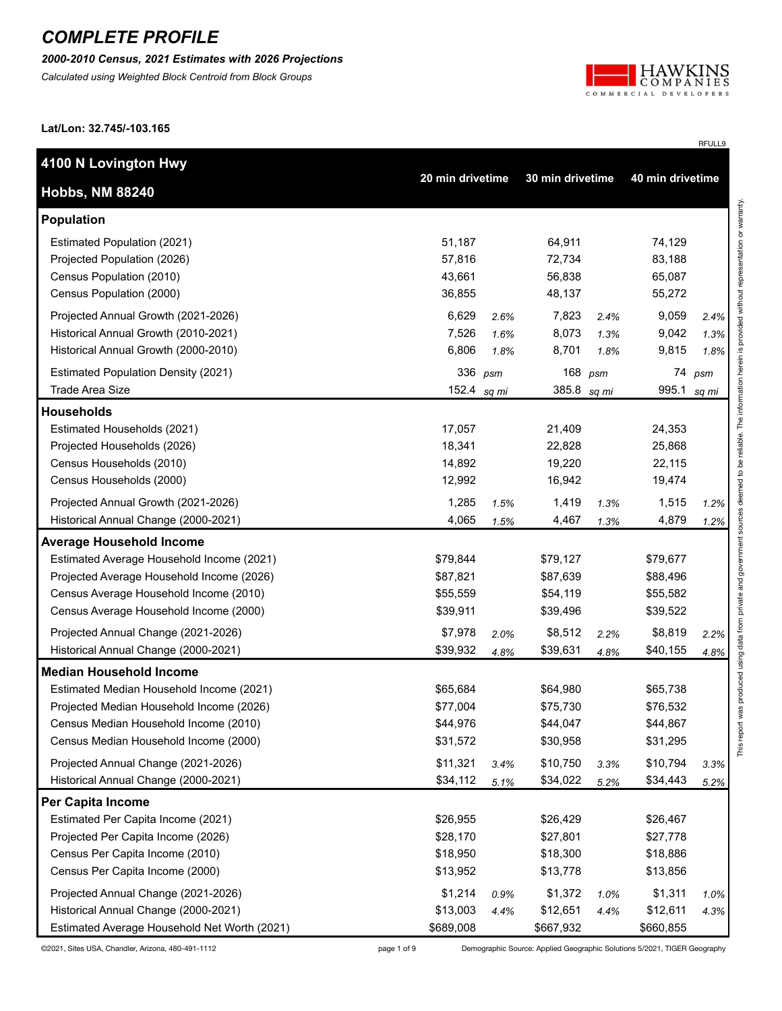*2000-2010 Census, 2021 Estimates with 2026 Projections*

*Calculated using Weighted Block Centroid from Block Groups*



RFULL9

**Lat/Lon: 32.745/-103.165**

| 4100 N Lovington Hwy                         |                  |      |                  |      |                  |        |
|----------------------------------------------|------------------|------|------------------|------|------------------|--------|
| <b>Hobbs, NM 88240</b>                       | 20 min drivetime |      | 30 min drivetime |      | 40 min drivetime |        |
| Population                                   |                  |      |                  |      |                  |        |
| Estimated Population (2021)                  | 51,187           |      | 64,911           |      | 74,129           |        |
| Projected Population (2026)                  | 57,816           |      | 72,734           |      | 83,188           |        |
| Census Population (2010)                     | 43,661           |      | 56,838           |      | 65,087           |        |
| Census Population (2000)                     | 36,855           |      | 48,137           |      | 55,272           |        |
| Projected Annual Growth (2021-2026)          | 6,629            | 2.6% | 7,823            | 2.4% | 9,059            | 2.4%   |
| Historical Annual Growth (2010-2021)         | 7,526            | 1.6% | 8,073            | 1.3% | 9,042            | 1.3%   |
| Historical Annual Growth (2000-2010)         | 6,806            | 1.8% | 8,701            | 1.8% | 9,815            | 1.8%   |
| <b>Estimated Population Density (2021)</b>   | 336              | psm  | 168              | psm  |                  | 74 psm |
| Trade Area Size                              | 152.4 $sq mi$    |      | 385.8 sq mi      |      | 995.1            | sq mi  |
| <b>Households</b>                            |                  |      |                  |      |                  |        |
| Estimated Households (2021)                  | 17,057           |      | 21,409           |      | 24,353           |        |
| Projected Households (2026)                  | 18,341           |      | 22,828           |      | 25,868           |        |
| Census Households (2010)                     | 14,892           |      | 19,220           |      | 22,115           |        |
| Census Households (2000)                     | 12,992           |      | 16,942           |      | 19,474           |        |
| Projected Annual Growth (2021-2026)          | 1,285            | 1.5% | 1,419            | 1.3% | 1,515            | 1.2%   |
| Historical Annual Change (2000-2021)         | 4,065            | 1.5% | 4,467            | 1.3% | 4,879            | 1.2%   |
| <b>Average Household Income</b>              |                  |      |                  |      |                  |        |
| Estimated Average Household Income (2021)    | \$79,844         |      | \$79,127         |      | \$79,677         |        |
| Projected Average Household Income (2026)    | \$87,821         |      | \$87,639         |      | \$88,496         |        |
| Census Average Household Income (2010)       | \$55,559         |      | \$54,119         |      | \$55,582         |        |
| Census Average Household Income (2000)       | \$39,911         |      | \$39,496         |      | \$39,522         |        |
| Projected Annual Change (2021-2026)          | \$7,978          | 2.0% | \$8,512          | 2.2% | \$8,819          | 2.2%   |
| Historical Annual Change (2000-2021)         | \$39,932         | 4.8% | \$39,631         | 4.8% | \$40,155         | 4.8%   |
| <b>Median Household Income</b>               |                  |      |                  |      |                  |        |
| Estimated Median Household Income (2021)     | \$65,684         |      | \$64,980         |      | \$65,738         |        |
| Projected Median Household Income (2026)     | \$77,004         |      | \$75,730         |      | \$76,532         |        |
| Census Median Household Income (2010)        | \$44,976         |      | \$44,047         |      | \$44,867         |        |
| Census Median Household Income (2000)        | \$31,572         |      | \$30,958         |      | \$31,295         |        |
| Projected Annual Change (2021-2026)          | \$11,321         | 3.4% | \$10,750         | 3.3% | \$10,794         | 3.3%   |
| Historical Annual Change (2000-2021)         | \$34,112         | 5.1% | \$34,022         | 5.2% | \$34,443         | 5.2%   |
| <b>Per Capita Income</b>                     |                  |      |                  |      |                  |        |
| Estimated Per Capita Income (2021)           | \$26,955         |      | \$26,429         |      | \$26,467         |        |
| Projected Per Capita Income (2026)           | \$28,170         |      | \$27,801         |      | \$27,778         |        |
| Census Per Capita Income (2010)              | \$18,950         |      | \$18,300         |      | \$18,886         |        |
| Census Per Capita Income (2000)              | \$13,952         |      | \$13,778         |      | \$13,856         |        |
| Projected Annual Change (2021-2026)          | \$1,214          | 0.9% | \$1,372          | 1.0% | \$1,311          | 1.0%   |
| Historical Annual Change (2000-2021)         | \$13,003         | 4.4% | \$12,651         | 4.4% | \$12,611         | 4.3%   |
| Estimated Average Household Net Worth (2021) | \$689,008        |      | \$667,932        |      | \$660,855        |        |

©2021, Sites USA, Chandler, Arizona, 480-491-1112 page 1 of 9 Demographic Source: Applied Geographic Solutions 5/2021, TIGER Geography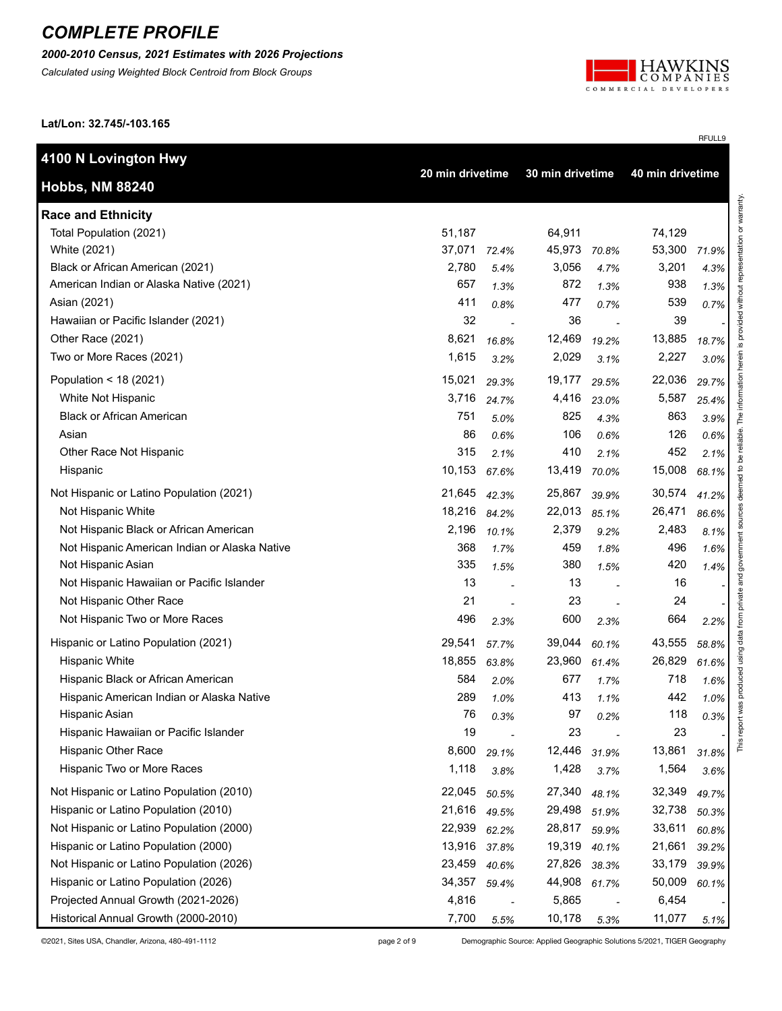*2000-2010 Census, 2021 Estimates with 2026 Projections*

*Calculated using Weighted Block Centroid from Block Groups*



RFULL9

**Lat/Lon: 32.745/-103.165**

| 4100 N Lovington Hwy                          |                                      |       |        |       |                  |       |                             |
|-----------------------------------------------|--------------------------------------|-------|--------|-------|------------------|-------|-----------------------------|
| <b>Hobbs, NM 88240</b>                        | 20 min drivetime<br>30 min drivetime |       |        |       | 40 min drivetime |       |                             |
| <b>Race and Ethnicity</b>                     |                                      |       |        |       |                  |       | representation or warranty. |
| Total Population (2021)                       | 51,187                               |       | 64,911 |       | 74,129           |       |                             |
| White (2021)                                  | 37,071                               | 72.4% | 45,973 | 70.8% | 53,300           | 71.9% |                             |
| Black or African American (2021)              | 2,780                                | 5.4%  | 3,056  | 4.7%  | 3,201            | 4.3%  |                             |
| American Indian or Alaska Native (2021)       | 657                                  | 1.3%  | 872    | 1.3%  | 938              | 1.3%  |                             |
| Asian (2021)                                  | 411                                  | 0.8%  | 477    | 0.7%  | 539              | 0.7%  |                             |
| Hawaiian or Pacific Islander (2021)           | 32                                   |       | 36     |       | 39               |       |                             |
| Other Race (2021)                             | 8,621                                | 16.8% | 12,469 | 19.2% | 13,885           | 18.7% |                             |
| Two or More Races (2021)                      | 1,615                                | 3.2%  | 2,029  | 3.1%  | 2,227            | 3.0%  | herein is provided without  |
| Population < 18 (2021)                        | 15,021                               | 29.3% | 19,177 | 29.5% | 22,036           | 29.7% | information                 |
| White Not Hispanic                            | 3,716                                | 24.7% | 4,416  | 23.0% | 5,587            | 25.4% |                             |
| <b>Black or African American</b>              | 751                                  | 5.0%  | 825    | 4.3%  | 863              | 3.9%  | The                         |
| Asian                                         | 86                                   | 0.6%  | 106    | 0.6%  | 126              | 0.6%  | reliable.                   |
| Other Race Not Hispanic                       | 315                                  | 2.1%  | 410    | 2.1%  | 452              | 2.1%  | å                           |
| Hispanic                                      | 10,153                               | 67.6% | 13,419 | 70.0% | 15,008           | 68.1% | deemed to                   |
| Not Hispanic or Latino Population (2021)      | 21,645                               | 42.3% | 25,867 | 39.9% | 30,574           | 41.2% |                             |
| Not Hispanic White                            | 18,216                               | 84.2% | 22,013 | 85.1% | 26,471           | 86.6% | sources                     |
| Not Hispanic Black or African American        | 2,196                                | 10.1% | 2,379  | 9.2%  | 2,483            | 8.1%  |                             |
| Not Hispanic American Indian or Alaska Native | 368                                  | 1.7%  | 459    | 1.8%  | 496              | 1.6%  | government                  |
| Not Hispanic Asian                            | 335                                  | 1.5%  | 380    | 1.5%  | 420              | 1.4%  |                             |
| Not Hispanic Hawaiian or Pacific Islander     | 13                                   |       | 13     |       | 16               |       |                             |
| Not Hispanic Other Race                       | 21                                   |       | 23     |       | 24               |       |                             |
| Not Hispanic Two or More Races                | 496                                  | 2.3%  | 600    | 2.3%  | 664              | 2.2%  |                             |
| Hispanic or Latino Population (2021)          | 29,541                               | 57.7% | 39,044 | 60.1% | 43,555           | 58.8% | using data from private and |
| <b>Hispanic White</b>                         | 18,855                               | 63.8% | 23,960 | 61.4% | 26,829           | 61.6% |                             |
| Hispanic Black or African American            | 584                                  | 2.0%  | 677    | 1.7%  | 718              | 1.6%  | produced                    |
| Hispanic American Indian or Alaska Native     | 289                                  | 1.0%  | 413    | 1.1%  | 442              | 1.0%  |                             |
| Hispanic Asian                                | 76                                   | 0.3%  | 97     | 0.2%  | 118              | 0.3%  |                             |
| Hispanic Hawaiian or Pacific Islander         | 19                                   |       | 23     |       | 23               |       | This report was             |
| <b>Hispanic Other Race</b>                    | 8,600                                | 29.1% | 12,446 | 31.9% | 13,861           | 31.8% |                             |
| Hispanic Two or More Races                    | 1,118                                | 3.8%  | 1,428  | 3.7%  | 1,564            | 3.6%  |                             |
| Not Hispanic or Latino Population (2010)      | 22,045                               | 50.5% | 27,340 | 48.1% | 32,349           | 49.7% |                             |
| Hispanic or Latino Population (2010)          | 21,616                               | 49.5% | 29,498 | 51.9% | 32,738           | 50.3% |                             |
| Not Hispanic or Latino Population (2000)      | 22,939                               | 62.2% | 28,817 | 59.9% | 33,611           | 60.8% |                             |
| Hispanic or Latino Population (2000)          | 13,916                               | 37.8% | 19,319 | 40.1% | 21,661           | 39.2% |                             |
| Not Hispanic or Latino Population (2026)      | 23,459                               | 40.6% | 27,826 | 38.3% | 33,179           | 39.9% |                             |
| Hispanic or Latino Population (2026)          | 34,357                               | 59.4% | 44,908 | 61.7% | 50,009           | 60.1% |                             |
| Projected Annual Growth (2021-2026)           | 4,816                                |       | 5,865  |       | 6,454            |       |                             |
| Historical Annual Growth (2000-2010)          | 7,700                                | 5.5%  | 10,178 | 5.3%  | 11,077           | 5.1%  |                             |

©2021, Sites USA, Chandler, Arizona, 480-491-1112 page 2 of 9 Demographic Source: Applied Geographic Solutions 5/2021, TIGER Geography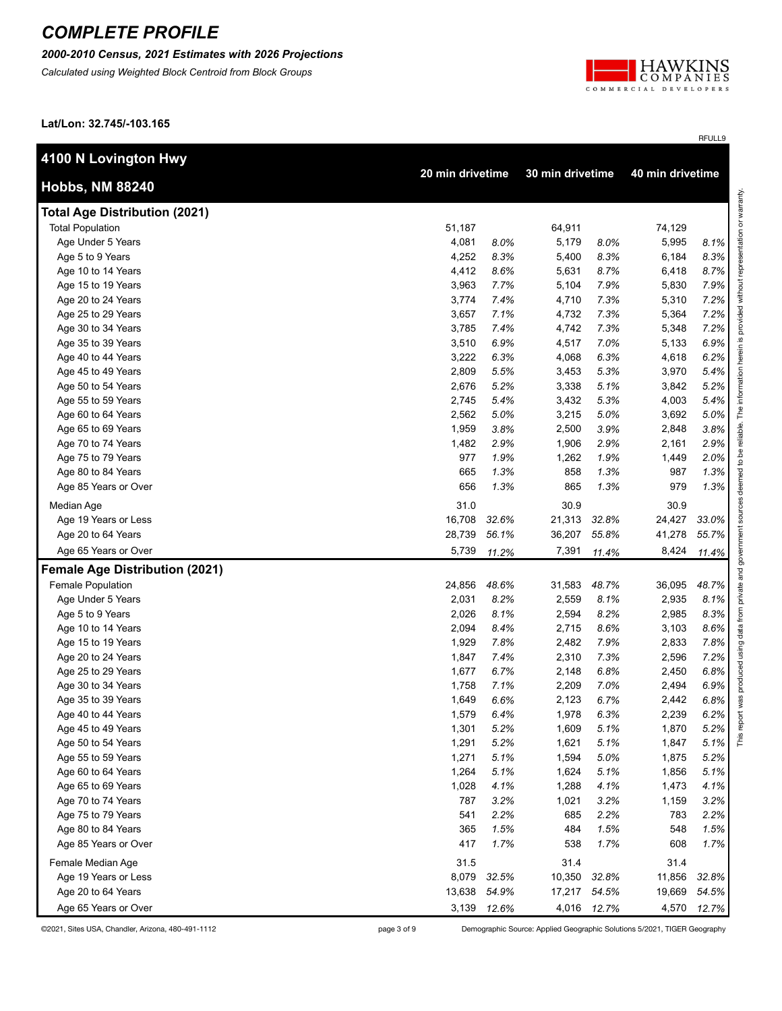*2000-2010 Census, 2021 Estimates with 2026 Projections*

*Calculated using Weighted Block Centroid from Block Groups*



RFULL9

**Lat/Lon: 32.745/-103.165**

| 4100 N Lovington Hwy                  |        |                  |        |                  |                  |       |
|---------------------------------------|--------|------------------|--------|------------------|------------------|-------|
| <b>Hobbs, NM 88240</b>                |        | 20 min drivetime |        | 30 min drivetime | 40 min drivetime |       |
| <b>Total Age Distribution (2021)</b>  |        |                  |        |                  |                  |       |
| <b>Total Population</b>               | 51,187 |                  | 64,911 |                  | 74,129           |       |
| Age Under 5 Years                     | 4,081  | 8.0%             | 5,179  | 8.0%             | 5,995            | 8.1%  |
| Age 5 to 9 Years                      | 4,252  | 8.3%             | 5,400  | 8.3%             | 6,184            | 8.3%  |
| Age 10 to 14 Years                    | 4,412  | 8.6%             | 5,631  | 8.7%             | 6,418            | 8.7%  |
| Age 15 to 19 Years                    | 3,963  | 7.7%             | 5,104  | 7.9%             | 5,830            | 7.9%  |
| Age 20 to 24 Years                    | 3,774  | 7.4%             | 4,710  | 7.3%             | 5,310            | 7.2%  |
| Age 25 to 29 Years                    | 3,657  | 7.1%             | 4,732  | 7.3%             | 5,364            | 7.2%  |
| Age 30 to 34 Years                    | 3,785  | 7.4%             | 4,742  | 7.3%             | 5,348            | 7.2%  |
| Age 35 to 39 Years                    | 3,510  | 6.9%             | 4,517  | 7.0%             | 5,133            | 6.9%  |
| Age 40 to 44 Years                    | 3,222  | 6.3%             | 4,068  | 6.3%             | 4,618            | 6.2%  |
| Age 45 to 49 Years                    | 2,809  | 5.5%             | 3,453  | 5.3%             | 3,970            | 5.4%  |
| Age 50 to 54 Years                    | 2,676  | 5.2%             | 3,338  | 5.1%             | 3,842            | 5.2%  |
| Age 55 to 59 Years                    | 2,745  | 5.4%             | 3,432  | 5.3%             | 4,003            | 5.4%  |
| Age 60 to 64 Years                    | 2,562  | 5.0%             | 3,215  | 5.0%             | 3,692            | 5.0%  |
| Age 65 to 69 Years                    | 1,959  | 3.8%             | 2,500  | 3.9%             | 2,848            | 3.8%  |
| Age 70 to 74 Years                    | 1,482  | 2.9%             | 1,906  | 2.9%             | 2,161            | 2.9%  |
| Age 75 to 79 Years                    | 977    | 1.9%             | 1,262  | 1.9%             | 1,449            | 2.0%  |
| Age 80 to 84 Years                    | 665    | 1.3%             | 858    | 1.3%             | 987              | 1.3%  |
| Age 85 Years or Over                  | 656    | 1.3%             | 865    | 1.3%             | 979              | 1.3%  |
| Median Age                            | 31.0   |                  | 30.9   |                  | 30.9             |       |
| Age 19 Years or Less                  | 16,708 | 32.6%            | 21,313 | 32.8%            | 24,427           | 33.0% |
| Age 20 to 64 Years                    | 28,739 | 56.1%            | 36,207 | 55.8%            | 41,278           | 55.7% |
| Age 65 Years or Over                  | 5,739  | 11.2%            | 7,391  | 11.4%            | 8,424            | 11.4% |
| <b>Female Age Distribution (2021)</b> |        |                  |        |                  |                  |       |
| Female Population                     | 24,856 | 48.6%            | 31,583 | 48.7%            | 36,095           | 48.7% |
| Age Under 5 Years                     | 2,031  | 8.2%             | 2,559  | 8.1%             | 2,935            | 8.1%  |
| Age 5 to 9 Years                      | 2,026  | 8.1%             | 2,594  | 8.2%             | 2,985            | 8.3%  |
| Age 10 to 14 Years                    | 2,094  | 8.4%             | 2,715  | 8.6%             | 3,103            | 8.6%  |
| Age 15 to 19 Years                    | 1,929  | 7.8%             | 2,482  | 7.9%             | 2,833            | 7.8%  |
| Age 20 to 24 Years                    | 1,847  | 7.4%             | 2,310  | 7.3%             | 2,596            | 7.2%  |
| Age 25 to 29 Years                    | 1,677  | 6.7%             | 2,148  | 6.8%             | 2,450            | 6.8%  |
| Age 30 to 34 Years                    | 1,758  | 7.1%             | 2,209  | 7.0%             | 2,494            | 6.9%  |
| Age 35 to 39 Years                    | 1,649  | 6.6%             | 2,123  | 6.7%             | 2,442            | 6.8%  |
| Age 40 to 44 Years                    | 1,579  | 6.4%             | 1,978  | 6.3%             | 2,239            | 6.2%  |
| Age 45 to 49 Years                    | 1,301  | 5.2%             | 1,609  | 5.1%             | 1,870            | 5.2%  |
| Age 50 to 54 Years                    | 1,291  | 5.2%             | 1,621  | 5.1%             | 1,847            | 5.1%  |
| Age 55 to 59 Years                    | 1,271  | 5.1%             | 1,594  | 5.0%             | 1,875            | 5.2%  |
| Age 60 to 64 Years                    | 1,264  | 5.1%             | 1,624  | 5.1%             | 1,856            | 5.1%  |
| Age 65 to 69 Years                    | 1,028  | 4.1%             | 1,288  | 4.1%             | 1,473            | 4.1%  |
| Age 70 to 74 Years                    | 787    | 3.2%             | 1,021  | 3.2%             | 1,159            | 3.2%  |
| Age 75 to 79 Years                    | 541    | 2.2%             | 685    | 2.2%             | 783              | 2.2%  |
| Age 80 to 84 Years                    | 365    | 1.5%             | 484    | 1.5%             | 548              | 1.5%  |
| Age 85 Years or Over                  | 417    | 1.7%             | 538    | 1.7%             | 608              | 1.7%  |
| Female Median Age                     | 31.5   |                  | 31.4   |                  | 31.4             |       |
| Age 19 Years or Less                  | 8,079  | 32.5%            | 10,350 | 32.8%            | 11,856           | 32.8% |
| Age 20 to 64 Years                    | 13,638 | 54.9%            | 17,217 | 54.5%            | 19,669           | 54.5% |
| Age 65 Years or Over                  |        | 3,139 12.6%      | 4,016  | 12.7%            | 4,570            | 12.7% |

©2021, Sites USA, Chandler, Arizona, 480-491-1112 page 3 of 9 Demographic Source: Applied Geographic Solutions 5/2021, TIGER Geography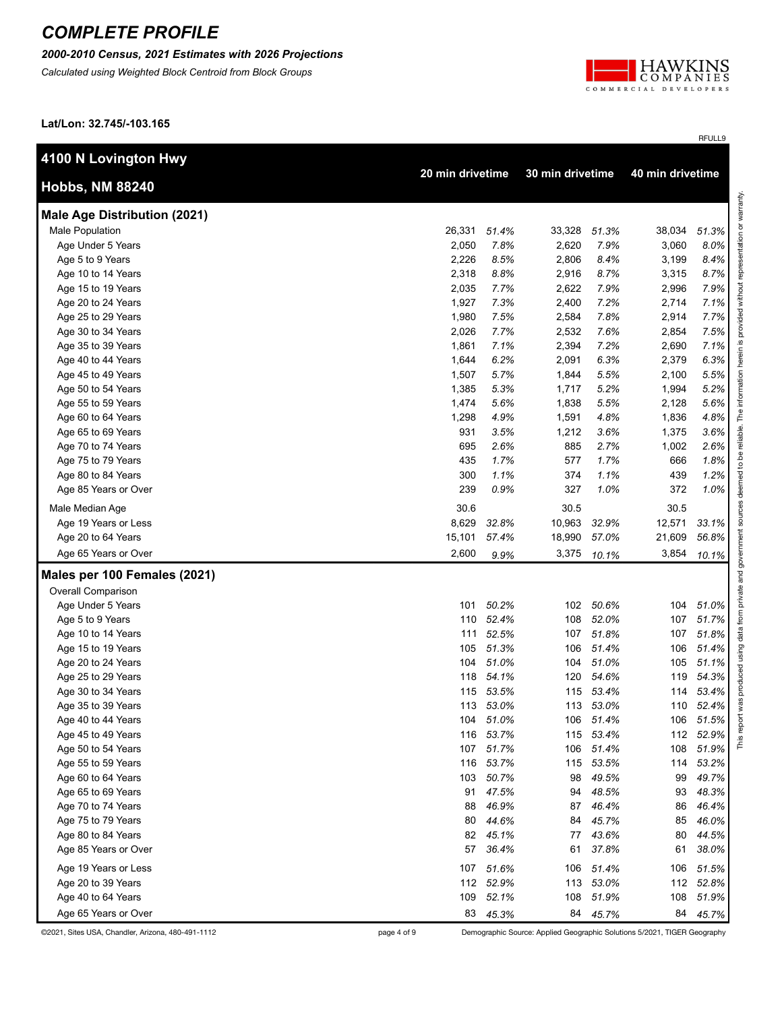*2000-2010 Census, 2021 Estimates with 2026 Projections*

*Calculated using Weighted Block Centroid from Block Groups*



RFULL9

**Lat/Lon: 32.745/-103.165**

| 4100 N Lovington Hwy                |        |                  |        |                                      |        |           |
|-------------------------------------|--------|------------------|--------|--------------------------------------|--------|-----------|
| <b>Hobbs, NM 88240</b>              |        | 20 min drivetime |        | 30 min drivetime<br>40 min drivetime |        |           |
| <b>Male Age Distribution (2021)</b> |        |                  |        |                                      |        |           |
| Male Population                     | 26,331 | 51.4%            | 33,328 | 51.3%                                | 38,034 | 51.3%     |
| Age Under 5 Years                   | 2,050  | 7.8%             | 2,620  | 7.9%                                 | 3,060  | 8.0%      |
| Age 5 to 9 Years                    | 2,226  | 8.5%             | 2,806  | 8.4%                                 | 3,199  | 8.4%      |
| Age 10 to 14 Years                  | 2,318  | 8.8%             | 2,916  | 8.7%                                 | 3,315  | 8.7%      |
| Age 15 to 19 Years                  | 2,035  | 7.7%             | 2,622  | 7.9%                                 | 2,996  | 7.9%      |
| Age 20 to 24 Years                  | 1,927  | 7.3%             | 2,400  | 7.2%                                 | 2,714  | 7.1%      |
| Age 25 to 29 Years                  | 1,980  | 7.5%             | 2,584  | 7.8%                                 | 2,914  | 7.7%      |
| Age 30 to 34 Years                  | 2,026  | 7.7%             | 2,532  | 7.6%                                 | 2,854  | 7.5%      |
| Age 35 to 39 Years                  | 1,861  | 7.1%             | 2,394  | 7.2%                                 | 2,690  | 7.1%      |
| Age 40 to 44 Years                  | 1,644  | 6.2%             | 2,091  | 6.3%                                 | 2,379  | 6.3%      |
| Age 45 to 49 Years                  | 1,507  | 5.7%             | 1,844  | 5.5%                                 | 2,100  | 5.5%      |
| Age 50 to 54 Years                  | 1,385  | 5.3%             | 1,717  | 5.2%                                 | 1,994  | 5.2%      |
| Age 55 to 59 Years                  | 1,474  | 5.6%             | 1,838  | 5.5%                                 | 2,128  | 5.6%      |
| Age 60 to 64 Years                  | 1,298  | 4.9%             | 1,591  | 4.8%                                 | 1,836  | 4.8%      |
| Age 65 to 69 Years                  | 931    | 3.5%             | 1,212  | 3.6%                                 | 1,375  | 3.6%      |
| Age 70 to 74 Years                  | 695    | 2.6%             | 885    | 2.7%                                 | 1,002  | 2.6%      |
| Age 75 to 79 Years                  | 435    | 1.7%             | 577    | 1.7%                                 | 666    | 1.8%      |
| Age 80 to 84 Years                  | 300    | 1.1%             | 374    | 1.1%                                 | 439    | 1.2%      |
| Age 85 Years or Over                | 239    | 0.9%             | 327    | 1.0%                                 | 372    | 1.0%      |
| Male Median Age                     | 30.6   |                  | 30.5   |                                      | 30.5   |           |
| Age 19 Years or Less                | 8,629  | 32.8%            | 10,963 | 32.9%                                | 12,571 | 33.1%     |
| Age 20 to 64 Years                  | 15,101 | 57.4%            | 18,990 | 57.0%                                | 21,609 | 56.8%     |
| Age 65 Years or Over                | 2,600  | 9.9%             | 3,375  | 10.1%                                | 3,854  | 10.1%     |
| Males per 100 Females (2021)        |        |                  |        |                                      |        |           |
| <b>Overall Comparison</b>           |        |                  |        |                                      |        |           |
| Age Under 5 Years                   | 101    | 50.2%            |        | 102 50.6%                            | 104    | 51.0%     |
| Age 5 to 9 Years                    |        | 110 52.4%        | 108    | 52.0%                                | 107    | 51.7%     |
| Age 10 to 14 Years                  |        | 111 52.5%        |        | 107 51.8%                            | 107    | 51.8%     |
| Age 15 to 19 Years                  | 105    | 51.3%            | 106    | 51.4%                                | 106    | 51.4%     |
| Age 20 to 24 Years                  | 104    | 51.0%            | 104    | 51.0%                                | 105    | 51.1%     |
| Age 25 to 29 Years                  | 118    | 54.1%            | 120    | 54.6%                                | 119    | 54.3%     |
| Age 30 to 34 Years                  | 115    | 53.5%            | 115    | 53.4%                                | 114    | 53.4%     |
| Age 35 to 39 Years                  | 113    | 53.0%            |        | 113 53.0%                            | 110    | 52.4%     |
| Age 40 to 44 Years                  | 104    | 51.0%            |        | 106 51.4%                            | 106    | 51.5%     |
| Age 45 to 49 Years                  |        | 116 53.7%        |        | 115 53.4%                            |        | 112 52.9% |
| Age 50 to 54 Years                  |        | 107 51.7%        |        | 106 51.4%                            |        | 108 51.9% |
| Age 55 to 59 Years                  |        | 116 53.7%        |        | 115 53.5%                            |        | 114 53.2% |
| Age 60 to 64 Years                  |        | 103 50.7%        |        | 98 49.5%                             | 99     | 49.7%     |
| Age 65 to 69 Years                  |        | 91 47.5%         |        | 94 48.5%                             | 93     | 48.3%     |
| Age 70 to 74 Years                  | 88     | 46.9%            |        | 87 46.4%                             | 86     | 46.4%     |
| Age 75 to 79 Years                  | 80     | 44.6%            | 84     | 45.7%                                | 85     | 46.0%     |
| Age 80 to 84 Years                  |        | 82 45.1%         | 77     | 43.6%                                | 80     | 44.5%     |
| Age 85 Years or Over                | 57     | 36.4%            | 61     | 37.8%                                | 61     | 38.0%     |
| Age 19 Years or Less                |        | 107 51.6%        |        | 106 51.4%                            | 106    | 51.5%     |
| Age 20 to 39 Years                  |        | 112 52.9%        |        | 113 53.0%                            |        | 112 52.8% |
| Age 40 to 64 Years                  | 109    | 52.1%            | 108    | 51.9%                                | 108    | 51.9%     |
|                                     |        |                  |        |                                      |        |           |
| Age 65 Years or Over                |        | 83 45.3%         |        | 84 45.7%                             |        | 84 45.7%  |

©2021, Sites USA, Chandler, Arizona, 480-491-1112 page 4 of 9 Demographic Source: Applied Geographic Solutions 5/2021, TIGER Geography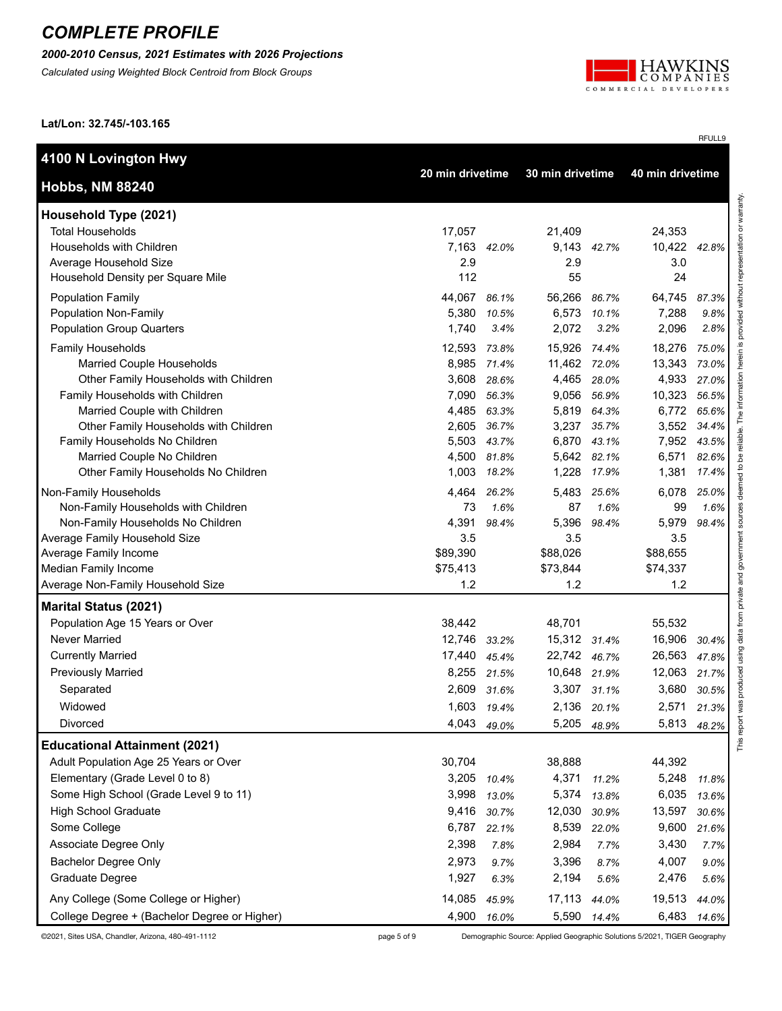*2000-2010 Census, 2021 Estimates with 2026 Projections*

*Calculated using Weighted Block Centroid from Block Groups*



RFULL9

**Lat/Lon: 32.745/-103.165**

| 40 min drivetime<br>20 min drivetime<br>30 min drivetime<br>representation or warranty.<br>Household Type (2021)<br><b>Total Households</b><br>17,057<br>21,409<br>24,353<br>Households with Children<br>7,163 42.0%<br>9,143 42.7%<br>10,422 42.8%<br>Average Household Size<br>2.9<br>2.9<br>3.0<br>112<br>Household Density per Square Mile<br>55<br>24<br>44,067<br>56,266 86.7%<br><b>Population Family</b><br>86.1%<br>64,745<br>87.3%<br>Population Non-Family<br>5,380<br>6,573 10.1%<br>7,288<br>10.5%<br>9.8%<br><b>Population Group Quarters</b><br>2,072<br>1,740<br>2,096<br>3.2%<br>2.8%<br>3.4%<br>Family Households<br>12,593 73.8%<br>15,926 74.4%<br>18,276<br>75.0%<br>Married Couple Households<br>8,985 71.4%<br>11,462 72.0%<br>13,343<br>73.0%<br>Other Family Households with Children<br>3,608<br>4,465<br>4,933<br>28.6%<br>28.0%<br>27.0%<br>Family Households with Children<br>9,056<br>7,090 56.3%<br>56.9%<br>10,323<br>56.5%<br>4,485 63.3%<br>5,819 64.3%<br>Married Couple with Children<br>6,772<br>65.6%<br>2,605<br>3,237<br>Other Family Households with Children<br>36.7%<br>3,552<br>35.7%<br>34.4%<br>5,503<br>6,870<br>Family Households No Children<br>43.7%<br>43.1%<br>7,952<br>43.5%<br>Married Couple No Children<br>4,500<br>5,642<br>6,571<br>81.8%<br>82.1%<br>82.6%<br>Other Family Households No Children<br>1,003<br>1,228<br>1,381<br>18.2%<br>17.9%<br>17.4%<br>4,464<br>5,483<br>26.2%<br>25.6%<br>6,078<br>25.0%<br>Non-Family Households with Children<br>73<br>1.6%<br>87<br>1.6%<br>99<br>1.6%<br>Non-Family Households No Children<br>4,391<br>5,396<br>5,979<br>98.4%<br>98.4%<br>98.4%<br>3.5<br>3.5<br>3.5<br>\$89,390<br>Average Family Income<br>\$88,026<br>\$88,655<br>Median Family Income<br>\$75,413<br>\$73,844<br>\$74,337<br>1.2<br>1.2<br>1.2<br>Average Non-Family Household Size<br>Population Age 15 Years or Over<br>38,442<br>48,701<br>55,532<br><b>Never Married</b><br>12,746<br>16,906<br>15,312 31.4%<br>33.2%<br>30.4%<br><b>Currently Married</b><br>17,440 45.4%<br>22,742 46.7%<br>26,563<br>47.8%<br><b>Previously Married</b><br>8,255 21.5%<br>10,648 21.9%<br>12,063<br>21.7%<br>Separated<br>2,609<br>3,307 31.1%<br>3,680<br>31.6%<br>30.5%<br>1,603 19.4%<br>2,136 20.1%<br>Widowed<br>2,571<br>21.3%<br>4,043<br>5,205<br>5,813<br>Divorced<br>49.0%<br>48.9%<br>48.2%<br><b>Educational Attainment (2021)</b><br>Adult Population Age 25 Years or Over<br>30,704<br>38,888<br>44,392<br>Elementary (Grade Level 0 to 8)<br>4,371<br>3,205 10.4%<br>5,248<br>11.2%<br>11.8%<br>Some High School (Grade Level 9 to 11)<br>3,998<br>5,374<br>6,035<br>13.0%<br>13.8%<br>13.6%<br>12,030<br><b>High School Graduate</b><br>9,416<br>13,597<br>30.7%<br>30.9%<br>30.6%<br>Some College<br>6,787<br>8,539<br>9,600<br>22.1%<br>22.0%<br>21.6%<br>2,984<br>Associate Degree Only<br>2,398<br>3,430<br>7.7%<br>7.8%<br>7.7%<br>3,396<br><b>Bachelor Degree Only</b><br>2,973<br>4,007<br>9.7%<br>8.7%<br>9.0%<br>Graduate Degree<br>1,927<br>2,194<br>2,476<br>5.6%<br>6.3%<br>5.6%<br>Any College (Some College or Higher)<br>14,085<br>17,113<br>19,513<br>45.9%<br>44.0%<br>44.0%<br>4,900 16.0%<br>5,590 14.4%<br>6,483 14.6% | 4100 N Lovington Hwy                         |  |  |  |  |  |
|----------------------------------------------------------------------------------------------------------------------------------------------------------------------------------------------------------------------------------------------------------------------------------------------------------------------------------------------------------------------------------------------------------------------------------------------------------------------------------------------------------------------------------------------------------------------------------------------------------------------------------------------------------------------------------------------------------------------------------------------------------------------------------------------------------------------------------------------------------------------------------------------------------------------------------------------------------------------------------------------------------------------------------------------------------------------------------------------------------------------------------------------------------------------------------------------------------------------------------------------------------------------------------------------------------------------------------------------------------------------------------------------------------------------------------------------------------------------------------------------------------------------------------------------------------------------------------------------------------------------------------------------------------------------------------------------------------------------------------------------------------------------------------------------------------------------------------------------------------------------------------------------------------------------------------------------------------------------------------------------------------------------------------------------------------------------------------------------------------------------------------------------------------------------------------------------------------------------------------------------------------------------------------------------------------------------------------------------------------------------------------------------------------------------------------------------------------------------------------------------------------------------------------------------------------------------------------------------------------------------------------------------------------------------------------------------------------------------------------------------------------------------------------------------------------------------------------------------------------------------------------------------------------------------------------------------------------------------------------------------------------------------------------------------------------------------------------------------------------------------------------------------------------------------------------------------------------------------------|----------------------------------------------|--|--|--|--|--|
|                                                                                                                                                                                                                                                                                                                                                                                                                                                                                                                                                                                                                                                                                                                                                                                                                                                                                                                                                                                                                                                                                                                                                                                                                                                                                                                                                                                                                                                                                                                                                                                                                                                                                                                                                                                                                                                                                                                                                                                                                                                                                                                                                                                                                                                                                                                                                                                                                                                                                                                                                                                                                                                                                                                                                                                                                                                                                                                                                                                                                                                                                                                                                                                                                            | <b>Hobbs, NM 88240</b>                       |  |  |  |  |  |
| without<br>herein<br>g<br>deel                                                                                                                                                                                                                                                                                                                                                                                                                                                                                                                                                                                                                                                                                                                                                                                                                                                                                                                                                                                                                                                                                                                                                                                                                                                                                                                                                                                                                                                                                                                                                                                                                                                                                                                                                                                                                                                                                                                                                                                                                                                                                                                                                                                                                                                                                                                                                                                                                                                                                                                                                                                                                                                                                                                                                                                                                                                                                                                                                                                                                                                                                                                                                                                             |                                              |  |  |  |  |  |
|                                                                                                                                                                                                                                                                                                                                                                                                                                                                                                                                                                                                                                                                                                                                                                                                                                                                                                                                                                                                                                                                                                                                                                                                                                                                                                                                                                                                                                                                                                                                                                                                                                                                                                                                                                                                                                                                                                                                                                                                                                                                                                                                                                                                                                                                                                                                                                                                                                                                                                                                                                                                                                                                                                                                                                                                                                                                                                                                                                                                                                                                                                                                                                                                                            |                                              |  |  |  |  |  |
|                                                                                                                                                                                                                                                                                                                                                                                                                                                                                                                                                                                                                                                                                                                                                                                                                                                                                                                                                                                                                                                                                                                                                                                                                                                                                                                                                                                                                                                                                                                                                                                                                                                                                                                                                                                                                                                                                                                                                                                                                                                                                                                                                                                                                                                                                                                                                                                                                                                                                                                                                                                                                                                                                                                                                                                                                                                                                                                                                                                                                                                                                                                                                                                                                            |                                              |  |  |  |  |  |
|                                                                                                                                                                                                                                                                                                                                                                                                                                                                                                                                                                                                                                                                                                                                                                                                                                                                                                                                                                                                                                                                                                                                                                                                                                                                                                                                                                                                                                                                                                                                                                                                                                                                                                                                                                                                                                                                                                                                                                                                                                                                                                                                                                                                                                                                                                                                                                                                                                                                                                                                                                                                                                                                                                                                                                                                                                                                                                                                                                                                                                                                                                                                                                                                                            |                                              |  |  |  |  |  |
| reliable.<br>ತಿ<br>°,<br>government<br>using data from private and<br>This repo                                                                                                                                                                                                                                                                                                                                                                                                                                                                                                                                                                                                                                                                                                                                                                                                                                                                                                                                                                                                                                                                                                                                                                                                                                                                                                                                                                                                                                                                                                                                                                                                                                                                                                                                                                                                                                                                                                                                                                                                                                                                                                                                                                                                                                                                                                                                                                                                                                                                                                                                                                                                                                                                                                                                                                                                                                                                                                                                                                                                                                                                                                                                            |                                              |  |  |  |  |  |
|                                                                                                                                                                                                                                                                                                                                                                                                                                                                                                                                                                                                                                                                                                                                                                                                                                                                                                                                                                                                                                                                                                                                                                                                                                                                                                                                                                                                                                                                                                                                                                                                                                                                                                                                                                                                                                                                                                                                                                                                                                                                                                                                                                                                                                                                                                                                                                                                                                                                                                                                                                                                                                                                                                                                                                                                                                                                                                                                                                                                                                                                                                                                                                                                                            |                                              |  |  |  |  |  |
|                                                                                                                                                                                                                                                                                                                                                                                                                                                                                                                                                                                                                                                                                                                                                                                                                                                                                                                                                                                                                                                                                                                                                                                                                                                                                                                                                                                                                                                                                                                                                                                                                                                                                                                                                                                                                                                                                                                                                                                                                                                                                                                                                                                                                                                                                                                                                                                                                                                                                                                                                                                                                                                                                                                                                                                                                                                                                                                                                                                                                                                                                                                                                                                                                            |                                              |  |  |  |  |  |
|                                                                                                                                                                                                                                                                                                                                                                                                                                                                                                                                                                                                                                                                                                                                                                                                                                                                                                                                                                                                                                                                                                                                                                                                                                                                                                                                                                                                                                                                                                                                                                                                                                                                                                                                                                                                                                                                                                                                                                                                                                                                                                                                                                                                                                                                                                                                                                                                                                                                                                                                                                                                                                                                                                                                                                                                                                                                                                                                                                                                                                                                                                                                                                                                                            |                                              |  |  |  |  |  |
|                                                                                                                                                                                                                                                                                                                                                                                                                                                                                                                                                                                                                                                                                                                                                                                                                                                                                                                                                                                                                                                                                                                                                                                                                                                                                                                                                                                                                                                                                                                                                                                                                                                                                                                                                                                                                                                                                                                                                                                                                                                                                                                                                                                                                                                                                                                                                                                                                                                                                                                                                                                                                                                                                                                                                                                                                                                                                                                                                                                                                                                                                                                                                                                                                            |                                              |  |  |  |  |  |
|                                                                                                                                                                                                                                                                                                                                                                                                                                                                                                                                                                                                                                                                                                                                                                                                                                                                                                                                                                                                                                                                                                                                                                                                                                                                                                                                                                                                                                                                                                                                                                                                                                                                                                                                                                                                                                                                                                                                                                                                                                                                                                                                                                                                                                                                                                                                                                                                                                                                                                                                                                                                                                                                                                                                                                                                                                                                                                                                                                                                                                                                                                                                                                                                                            |                                              |  |  |  |  |  |
|                                                                                                                                                                                                                                                                                                                                                                                                                                                                                                                                                                                                                                                                                                                                                                                                                                                                                                                                                                                                                                                                                                                                                                                                                                                                                                                                                                                                                                                                                                                                                                                                                                                                                                                                                                                                                                                                                                                                                                                                                                                                                                                                                                                                                                                                                                                                                                                                                                                                                                                                                                                                                                                                                                                                                                                                                                                                                                                                                                                                                                                                                                                                                                                                                            |                                              |  |  |  |  |  |
|                                                                                                                                                                                                                                                                                                                                                                                                                                                                                                                                                                                                                                                                                                                                                                                                                                                                                                                                                                                                                                                                                                                                                                                                                                                                                                                                                                                                                                                                                                                                                                                                                                                                                                                                                                                                                                                                                                                                                                                                                                                                                                                                                                                                                                                                                                                                                                                                                                                                                                                                                                                                                                                                                                                                                                                                                                                                                                                                                                                                                                                                                                                                                                                                                            |                                              |  |  |  |  |  |
|                                                                                                                                                                                                                                                                                                                                                                                                                                                                                                                                                                                                                                                                                                                                                                                                                                                                                                                                                                                                                                                                                                                                                                                                                                                                                                                                                                                                                                                                                                                                                                                                                                                                                                                                                                                                                                                                                                                                                                                                                                                                                                                                                                                                                                                                                                                                                                                                                                                                                                                                                                                                                                                                                                                                                                                                                                                                                                                                                                                                                                                                                                                                                                                                                            |                                              |  |  |  |  |  |
|                                                                                                                                                                                                                                                                                                                                                                                                                                                                                                                                                                                                                                                                                                                                                                                                                                                                                                                                                                                                                                                                                                                                                                                                                                                                                                                                                                                                                                                                                                                                                                                                                                                                                                                                                                                                                                                                                                                                                                                                                                                                                                                                                                                                                                                                                                                                                                                                                                                                                                                                                                                                                                                                                                                                                                                                                                                                                                                                                                                                                                                                                                                                                                                                                            |                                              |  |  |  |  |  |
|                                                                                                                                                                                                                                                                                                                                                                                                                                                                                                                                                                                                                                                                                                                                                                                                                                                                                                                                                                                                                                                                                                                                                                                                                                                                                                                                                                                                                                                                                                                                                                                                                                                                                                                                                                                                                                                                                                                                                                                                                                                                                                                                                                                                                                                                                                                                                                                                                                                                                                                                                                                                                                                                                                                                                                                                                                                                                                                                                                                                                                                                                                                                                                                                                            |                                              |  |  |  |  |  |
|                                                                                                                                                                                                                                                                                                                                                                                                                                                                                                                                                                                                                                                                                                                                                                                                                                                                                                                                                                                                                                                                                                                                                                                                                                                                                                                                                                                                                                                                                                                                                                                                                                                                                                                                                                                                                                                                                                                                                                                                                                                                                                                                                                                                                                                                                                                                                                                                                                                                                                                                                                                                                                                                                                                                                                                                                                                                                                                                                                                                                                                                                                                                                                                                                            |                                              |  |  |  |  |  |
|                                                                                                                                                                                                                                                                                                                                                                                                                                                                                                                                                                                                                                                                                                                                                                                                                                                                                                                                                                                                                                                                                                                                                                                                                                                                                                                                                                                                                                                                                                                                                                                                                                                                                                                                                                                                                                                                                                                                                                                                                                                                                                                                                                                                                                                                                                                                                                                                                                                                                                                                                                                                                                                                                                                                                                                                                                                                                                                                                                                                                                                                                                                                                                                                                            |                                              |  |  |  |  |  |
|                                                                                                                                                                                                                                                                                                                                                                                                                                                                                                                                                                                                                                                                                                                                                                                                                                                                                                                                                                                                                                                                                                                                                                                                                                                                                                                                                                                                                                                                                                                                                                                                                                                                                                                                                                                                                                                                                                                                                                                                                                                                                                                                                                                                                                                                                                                                                                                                                                                                                                                                                                                                                                                                                                                                                                                                                                                                                                                                                                                                                                                                                                                                                                                                                            | Non-Family Households                        |  |  |  |  |  |
|                                                                                                                                                                                                                                                                                                                                                                                                                                                                                                                                                                                                                                                                                                                                                                                                                                                                                                                                                                                                                                                                                                                                                                                                                                                                                                                                                                                                                                                                                                                                                                                                                                                                                                                                                                                                                                                                                                                                                                                                                                                                                                                                                                                                                                                                                                                                                                                                                                                                                                                                                                                                                                                                                                                                                                                                                                                                                                                                                                                                                                                                                                                                                                                                                            |                                              |  |  |  |  |  |
|                                                                                                                                                                                                                                                                                                                                                                                                                                                                                                                                                                                                                                                                                                                                                                                                                                                                                                                                                                                                                                                                                                                                                                                                                                                                                                                                                                                                                                                                                                                                                                                                                                                                                                                                                                                                                                                                                                                                                                                                                                                                                                                                                                                                                                                                                                                                                                                                                                                                                                                                                                                                                                                                                                                                                                                                                                                                                                                                                                                                                                                                                                                                                                                                                            |                                              |  |  |  |  |  |
|                                                                                                                                                                                                                                                                                                                                                                                                                                                                                                                                                                                                                                                                                                                                                                                                                                                                                                                                                                                                                                                                                                                                                                                                                                                                                                                                                                                                                                                                                                                                                                                                                                                                                                                                                                                                                                                                                                                                                                                                                                                                                                                                                                                                                                                                                                                                                                                                                                                                                                                                                                                                                                                                                                                                                                                                                                                                                                                                                                                                                                                                                                                                                                                                                            | Average Family Household Size                |  |  |  |  |  |
|                                                                                                                                                                                                                                                                                                                                                                                                                                                                                                                                                                                                                                                                                                                                                                                                                                                                                                                                                                                                                                                                                                                                                                                                                                                                                                                                                                                                                                                                                                                                                                                                                                                                                                                                                                                                                                                                                                                                                                                                                                                                                                                                                                                                                                                                                                                                                                                                                                                                                                                                                                                                                                                                                                                                                                                                                                                                                                                                                                                                                                                                                                                                                                                                                            |                                              |  |  |  |  |  |
|                                                                                                                                                                                                                                                                                                                                                                                                                                                                                                                                                                                                                                                                                                                                                                                                                                                                                                                                                                                                                                                                                                                                                                                                                                                                                                                                                                                                                                                                                                                                                                                                                                                                                                                                                                                                                                                                                                                                                                                                                                                                                                                                                                                                                                                                                                                                                                                                                                                                                                                                                                                                                                                                                                                                                                                                                                                                                                                                                                                                                                                                                                                                                                                                                            |                                              |  |  |  |  |  |
|                                                                                                                                                                                                                                                                                                                                                                                                                                                                                                                                                                                                                                                                                                                                                                                                                                                                                                                                                                                                                                                                                                                                                                                                                                                                                                                                                                                                                                                                                                                                                                                                                                                                                                                                                                                                                                                                                                                                                                                                                                                                                                                                                                                                                                                                                                                                                                                                                                                                                                                                                                                                                                                                                                                                                                                                                                                                                                                                                                                                                                                                                                                                                                                                                            |                                              |  |  |  |  |  |
|                                                                                                                                                                                                                                                                                                                                                                                                                                                                                                                                                                                                                                                                                                                                                                                                                                                                                                                                                                                                                                                                                                                                                                                                                                                                                                                                                                                                                                                                                                                                                                                                                                                                                                                                                                                                                                                                                                                                                                                                                                                                                                                                                                                                                                                                                                                                                                                                                                                                                                                                                                                                                                                                                                                                                                                                                                                                                                                                                                                                                                                                                                                                                                                                                            | <b>Marital Status (2021)</b>                 |  |  |  |  |  |
|                                                                                                                                                                                                                                                                                                                                                                                                                                                                                                                                                                                                                                                                                                                                                                                                                                                                                                                                                                                                                                                                                                                                                                                                                                                                                                                                                                                                                                                                                                                                                                                                                                                                                                                                                                                                                                                                                                                                                                                                                                                                                                                                                                                                                                                                                                                                                                                                                                                                                                                                                                                                                                                                                                                                                                                                                                                                                                                                                                                                                                                                                                                                                                                                                            |                                              |  |  |  |  |  |
|                                                                                                                                                                                                                                                                                                                                                                                                                                                                                                                                                                                                                                                                                                                                                                                                                                                                                                                                                                                                                                                                                                                                                                                                                                                                                                                                                                                                                                                                                                                                                                                                                                                                                                                                                                                                                                                                                                                                                                                                                                                                                                                                                                                                                                                                                                                                                                                                                                                                                                                                                                                                                                                                                                                                                                                                                                                                                                                                                                                                                                                                                                                                                                                                                            |                                              |  |  |  |  |  |
|                                                                                                                                                                                                                                                                                                                                                                                                                                                                                                                                                                                                                                                                                                                                                                                                                                                                                                                                                                                                                                                                                                                                                                                                                                                                                                                                                                                                                                                                                                                                                                                                                                                                                                                                                                                                                                                                                                                                                                                                                                                                                                                                                                                                                                                                                                                                                                                                                                                                                                                                                                                                                                                                                                                                                                                                                                                                                                                                                                                                                                                                                                                                                                                                                            |                                              |  |  |  |  |  |
|                                                                                                                                                                                                                                                                                                                                                                                                                                                                                                                                                                                                                                                                                                                                                                                                                                                                                                                                                                                                                                                                                                                                                                                                                                                                                                                                                                                                                                                                                                                                                                                                                                                                                                                                                                                                                                                                                                                                                                                                                                                                                                                                                                                                                                                                                                                                                                                                                                                                                                                                                                                                                                                                                                                                                                                                                                                                                                                                                                                                                                                                                                                                                                                                                            |                                              |  |  |  |  |  |
|                                                                                                                                                                                                                                                                                                                                                                                                                                                                                                                                                                                                                                                                                                                                                                                                                                                                                                                                                                                                                                                                                                                                                                                                                                                                                                                                                                                                                                                                                                                                                                                                                                                                                                                                                                                                                                                                                                                                                                                                                                                                                                                                                                                                                                                                                                                                                                                                                                                                                                                                                                                                                                                                                                                                                                                                                                                                                                                                                                                                                                                                                                                                                                                                                            |                                              |  |  |  |  |  |
|                                                                                                                                                                                                                                                                                                                                                                                                                                                                                                                                                                                                                                                                                                                                                                                                                                                                                                                                                                                                                                                                                                                                                                                                                                                                                                                                                                                                                                                                                                                                                                                                                                                                                                                                                                                                                                                                                                                                                                                                                                                                                                                                                                                                                                                                                                                                                                                                                                                                                                                                                                                                                                                                                                                                                                                                                                                                                                                                                                                                                                                                                                                                                                                                                            |                                              |  |  |  |  |  |
|                                                                                                                                                                                                                                                                                                                                                                                                                                                                                                                                                                                                                                                                                                                                                                                                                                                                                                                                                                                                                                                                                                                                                                                                                                                                                                                                                                                                                                                                                                                                                                                                                                                                                                                                                                                                                                                                                                                                                                                                                                                                                                                                                                                                                                                                                                                                                                                                                                                                                                                                                                                                                                                                                                                                                                                                                                                                                                                                                                                                                                                                                                                                                                                                                            |                                              |  |  |  |  |  |
|                                                                                                                                                                                                                                                                                                                                                                                                                                                                                                                                                                                                                                                                                                                                                                                                                                                                                                                                                                                                                                                                                                                                                                                                                                                                                                                                                                                                                                                                                                                                                                                                                                                                                                                                                                                                                                                                                                                                                                                                                                                                                                                                                                                                                                                                                                                                                                                                                                                                                                                                                                                                                                                                                                                                                                                                                                                                                                                                                                                                                                                                                                                                                                                                                            |                                              |  |  |  |  |  |
|                                                                                                                                                                                                                                                                                                                                                                                                                                                                                                                                                                                                                                                                                                                                                                                                                                                                                                                                                                                                                                                                                                                                                                                                                                                                                                                                                                                                                                                                                                                                                                                                                                                                                                                                                                                                                                                                                                                                                                                                                                                                                                                                                                                                                                                                                                                                                                                                                                                                                                                                                                                                                                                                                                                                                                                                                                                                                                                                                                                                                                                                                                                                                                                                                            |                                              |  |  |  |  |  |
|                                                                                                                                                                                                                                                                                                                                                                                                                                                                                                                                                                                                                                                                                                                                                                                                                                                                                                                                                                                                                                                                                                                                                                                                                                                                                                                                                                                                                                                                                                                                                                                                                                                                                                                                                                                                                                                                                                                                                                                                                                                                                                                                                                                                                                                                                                                                                                                                                                                                                                                                                                                                                                                                                                                                                                                                                                                                                                                                                                                                                                                                                                                                                                                                                            |                                              |  |  |  |  |  |
|                                                                                                                                                                                                                                                                                                                                                                                                                                                                                                                                                                                                                                                                                                                                                                                                                                                                                                                                                                                                                                                                                                                                                                                                                                                                                                                                                                                                                                                                                                                                                                                                                                                                                                                                                                                                                                                                                                                                                                                                                                                                                                                                                                                                                                                                                                                                                                                                                                                                                                                                                                                                                                                                                                                                                                                                                                                                                                                                                                                                                                                                                                                                                                                                                            |                                              |  |  |  |  |  |
|                                                                                                                                                                                                                                                                                                                                                                                                                                                                                                                                                                                                                                                                                                                                                                                                                                                                                                                                                                                                                                                                                                                                                                                                                                                                                                                                                                                                                                                                                                                                                                                                                                                                                                                                                                                                                                                                                                                                                                                                                                                                                                                                                                                                                                                                                                                                                                                                                                                                                                                                                                                                                                                                                                                                                                                                                                                                                                                                                                                                                                                                                                                                                                                                                            |                                              |  |  |  |  |  |
|                                                                                                                                                                                                                                                                                                                                                                                                                                                                                                                                                                                                                                                                                                                                                                                                                                                                                                                                                                                                                                                                                                                                                                                                                                                                                                                                                                                                                                                                                                                                                                                                                                                                                                                                                                                                                                                                                                                                                                                                                                                                                                                                                                                                                                                                                                                                                                                                                                                                                                                                                                                                                                                                                                                                                                                                                                                                                                                                                                                                                                                                                                                                                                                                                            |                                              |  |  |  |  |  |
|                                                                                                                                                                                                                                                                                                                                                                                                                                                                                                                                                                                                                                                                                                                                                                                                                                                                                                                                                                                                                                                                                                                                                                                                                                                                                                                                                                                                                                                                                                                                                                                                                                                                                                                                                                                                                                                                                                                                                                                                                                                                                                                                                                                                                                                                                                                                                                                                                                                                                                                                                                                                                                                                                                                                                                                                                                                                                                                                                                                                                                                                                                                                                                                                                            |                                              |  |  |  |  |  |
|                                                                                                                                                                                                                                                                                                                                                                                                                                                                                                                                                                                                                                                                                                                                                                                                                                                                                                                                                                                                                                                                                                                                                                                                                                                                                                                                                                                                                                                                                                                                                                                                                                                                                                                                                                                                                                                                                                                                                                                                                                                                                                                                                                                                                                                                                                                                                                                                                                                                                                                                                                                                                                                                                                                                                                                                                                                                                                                                                                                                                                                                                                                                                                                                                            |                                              |  |  |  |  |  |
|                                                                                                                                                                                                                                                                                                                                                                                                                                                                                                                                                                                                                                                                                                                                                                                                                                                                                                                                                                                                                                                                                                                                                                                                                                                                                                                                                                                                                                                                                                                                                                                                                                                                                                                                                                                                                                                                                                                                                                                                                                                                                                                                                                                                                                                                                                                                                                                                                                                                                                                                                                                                                                                                                                                                                                                                                                                                                                                                                                                                                                                                                                                                                                                                                            |                                              |  |  |  |  |  |
|                                                                                                                                                                                                                                                                                                                                                                                                                                                                                                                                                                                                                                                                                                                                                                                                                                                                                                                                                                                                                                                                                                                                                                                                                                                                                                                                                                                                                                                                                                                                                                                                                                                                                                                                                                                                                                                                                                                                                                                                                                                                                                                                                                                                                                                                                                                                                                                                                                                                                                                                                                                                                                                                                                                                                                                                                                                                                                                                                                                                                                                                                                                                                                                                                            |                                              |  |  |  |  |  |
|                                                                                                                                                                                                                                                                                                                                                                                                                                                                                                                                                                                                                                                                                                                                                                                                                                                                                                                                                                                                                                                                                                                                                                                                                                                                                                                                                                                                                                                                                                                                                                                                                                                                                                                                                                                                                                                                                                                                                                                                                                                                                                                                                                                                                                                                                                                                                                                                                                                                                                                                                                                                                                                                                                                                                                                                                                                                                                                                                                                                                                                                                                                                                                                                                            | College Degree + (Bachelor Degree or Higher) |  |  |  |  |  |

©2021, Sites USA, Chandler, Arizona, 480-491-1112 page 5 of 9 Demographic Source: Applied Geographic Solutions 5/2021, TIGER Geography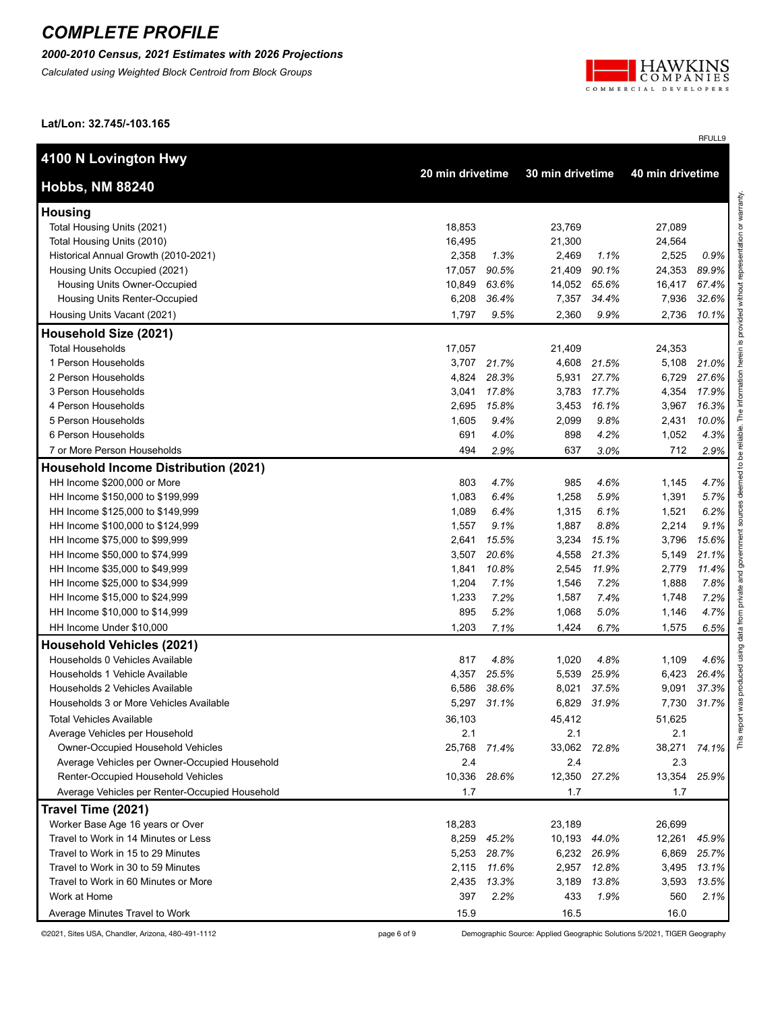*2000-2010 Census, 2021 Estimates with 2026 Projections*

*Calculated using Weighted Block Centroid from Block Groups*



RFULL9

**Lat/Lon: 32.745/-103.165**

| 4100 N Lovington Hwy                           |              | 30 min drivetime |              |       | 40 min drivetime |       |  |
|------------------------------------------------|--------------|------------------|--------------|-------|------------------|-------|--|
| <b>Hobbs, NM 88240</b>                         |              | 20 min drivetime |              |       |                  |       |  |
| <b>Housing</b>                                 |              |                  |              |       |                  |       |  |
| Total Housing Units (2021)                     | 18,853       |                  | 23,769       |       | 27,089           |       |  |
| Total Housing Units (2010)                     | 16,495       |                  | 21,300       |       | 24,564           |       |  |
| Historical Annual Growth (2010-2021)           | 2,358        | 1.3%             | 2,469        | 1.1%  | 2,525            | 0.9%  |  |
| Housing Units Occupied (2021)                  | 17,057       | 90.5%            | 21,409       | 90.1% | 24,353           | 89.9% |  |
| Housing Units Owner-Occupied                   | 10,849       | 63.6%            | 14,052       | 65.6% | 16,417           | 67.4% |  |
| Housing Units Renter-Occupied                  | 6,208        | 36.4%            | 7,357        | 34.4% | 7,936            | 32.6% |  |
| Housing Units Vacant (2021)                    | 1,797        | 9.5%             | 2,360        | 9.9%  | 2,736            | 10.1% |  |
| Household Size (2021)                          |              |                  |              |       |                  |       |  |
| <b>Total Households</b>                        | 17,057       |                  | 21,409       |       | 24,353           |       |  |
| 1 Person Households                            | 3,707        | 21.7%            | 4,608        | 21.5% | 5,108            | 21.0% |  |
| 2 Person Households                            | 4,824        | 28.3%            | 5,931        | 27.7% | 6,729            | 27.6% |  |
| 3 Person Households                            | 3,041        | 17.8%            | 3,783        | 17.7% | 4,354            | 17.9% |  |
| 4 Person Households                            | 2,695        | 15.8%            | 3,453        | 16.1% | 3,967            | 16.3% |  |
| 5 Person Households                            | 1,605        | 9.4%             | 2,099        | 9.8%  | 2,431            | 10.0% |  |
| 6 Person Households                            | 691          | 4.0%             | 898          | 4.2%  | 1,052            | 4.3%  |  |
| 7 or More Person Households                    | 494          | 2.9%             | 637          | 3.0%  | 712              | 2.9%  |  |
| <b>Household Income Distribution (2021)</b>    |              |                  |              |       |                  |       |  |
| HH Income \$200,000 or More                    | 803          | 4.7%             | 985          | 4.6%  | 1,145            | 4.7%  |  |
| HH Income \$150,000 to \$199,999               | 1,083        | 6.4%             | 1,258        | 5.9%  | 1,391            | 5.7%  |  |
| HH Income \$125,000 to \$149,999               | 1,089        | 6.4%             | 1,315        | 6.1%  | 1,521            | 6.2%  |  |
| HH Income \$100,000 to \$124,999               | 1,557        | 9.1%             | 1,887        | 8.8%  | 2,214            | 9.1%  |  |
| HH Income \$75,000 to \$99,999                 | 2,641        | 15.5%            | 3,234        | 15.1% | 3,796            | 15.6% |  |
| HH Income \$50,000 to \$74,999                 | 3,507        | 20.6%            | 4,558        | 21.3% | 5,149            | 21.1% |  |
| HH Income \$35,000 to \$49,999                 | 1,841        | 10.8%            | 2,545        | 11.9% | 2,779            | 11.4% |  |
| HH Income \$25,000 to \$34,999                 | 1,204        | 7.1%             | 1,546        | 7.2%  | 1,888            | 7.8%  |  |
| HH Income \$15,000 to \$24,999                 | 1,233        | 7.2%             | 1,587        | 7.4%  | 1,748            | 7.2%  |  |
| HH Income \$10,000 to \$14,999                 | 895          | 5.2%             | 1,068        | 5.0%  | 1,146            | 4.7%  |  |
| HH Income Under \$10,000                       | 1,203        | 7.1%             | 1,424        | 6.7%  | 1,575            | 6.5%  |  |
| <b>Household Vehicles (2021)</b>               |              |                  |              |       |                  |       |  |
| Households 0 Vehicles Available                | 817          | 4.8%             | 1,020        | 4.8%  | 1,109            | 4.6%  |  |
| Households 1 Vehicle Available                 | 4,357        | 25.5%            | 5,539        | 25.9% | 6,423            | 26.4% |  |
| Households 2 Vehicles Available                | 6,586        | 38.6%            | 8,021        | 37.5% | 9,091            | 37.3% |  |
| Households 3 or More Vehicles Available        | 5,297        | 31.1%            | 6,829        | 31.9% | 7,730            | 31.7% |  |
| <b>Total Vehicles Available</b>                | 36,103       |                  | 45,412       |       | 51,625           |       |  |
| Average Vehicles per Household                 | 2.1          |                  | 2.1          |       | 2.1              |       |  |
| Owner-Occupied Household Vehicles              | 25,768 71.4% |                  | 33,062 72.8% |       | 38,271           | 74.1% |  |
| Average Vehicles per Owner-Occupied Household  | 2.4          |                  | 2.4          |       | 2.3              |       |  |
| Renter-Occupied Household Vehicles             | 10,336 28.6% |                  | 12,350 27.2% |       | 13,354           | 25.9% |  |
| Average Vehicles per Renter-Occupied Household | 1.7          |                  | 1.7          |       | 1.7              |       |  |
| Travel Time (2021)                             |              |                  |              |       |                  |       |  |
| Worker Base Age 16 years or Over               | 18,283       |                  | 23,189       |       | 26,699           |       |  |
| Travel to Work in 14 Minutes or Less           |              | 8,259 45.2%      | 10,193       | 44.0% | 12,261           | 45.9% |  |
| Travel to Work in 15 to 29 Minutes             | 5,253        | 28.7%            | 6,232        | 26.9% | 6,869            | 25.7% |  |
| Travel to Work in 30 to 59 Minutes             | 2,115        | 11.6%            | 2,957        | 12.8% | 3,495            | 13.1% |  |
| Travel to Work in 60 Minutes or More           |              | 2,435 13.3%      | 3,189        | 13.8% | 3,593            | 13.5% |  |
|                                                |              |                  |              |       |                  |       |  |
| Work at Home                                   | 397          | 2.2%             | 433          | 1.9%  | 560              | 2.1%  |  |

©2021, Sites USA, Chandler, Arizona, 480-491-1112 page 6 of 9 Demographic Source: Applied Geographic Solutions 5/2021, TIGER Geography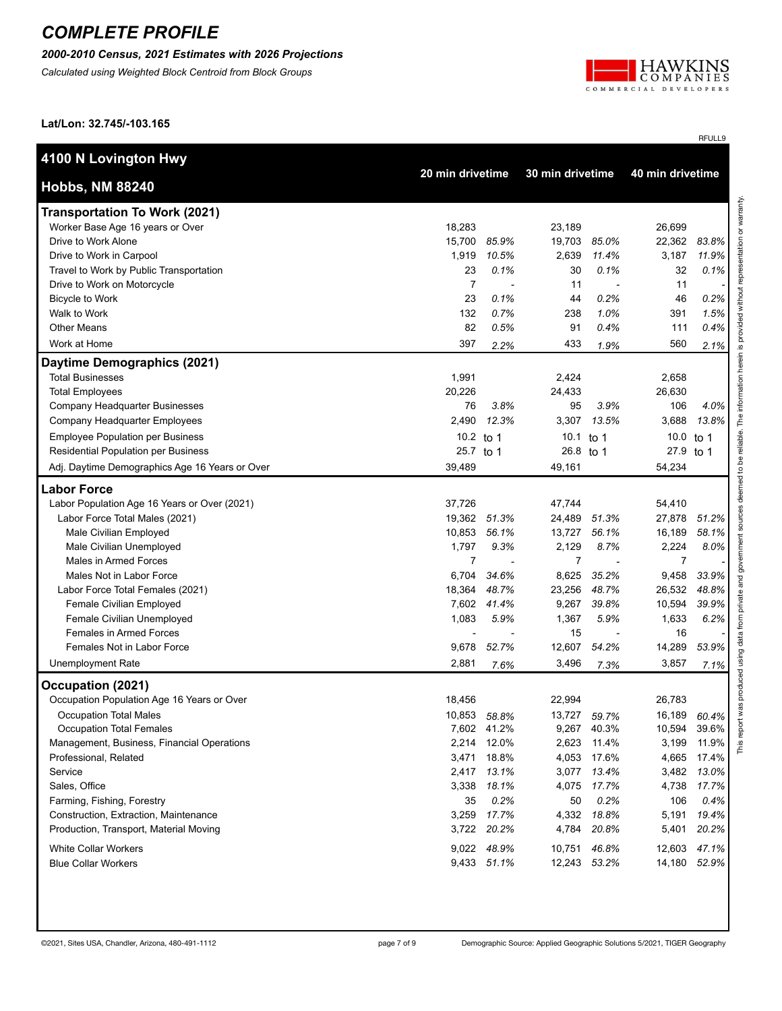*2000-2010 Census, 2021 Estimates with 2026 Projections*

*Calculated using Weighted Block Centroid from Block Groups*



RFULL9

**Lat/Lon: 32.745/-103.165**

| 4100 N Lovington Hwy                                                           |                                      |                          |                  |                  |                  |       |
|--------------------------------------------------------------------------------|--------------------------------------|--------------------------|------------------|------------------|------------------|-------|
| <b>Hobbs, NM 88240</b>                                                         | 20 min drivetime<br>30 min drivetime |                          |                  | 40 min drivetime |                  |       |
| <b>Transportation To Work (2021)</b>                                           |                                      |                          |                  |                  |                  |       |
| Worker Base Age 16 years or Over                                               | 18,283                               |                          | 23,189           |                  | 26,699           |       |
| Drive to Work Alone                                                            | 15,700                               | 85.9%                    | 19,703           | 85.0%            | 22,362           | 83.8% |
| Drive to Work in Carpool                                                       | 1,919                                | 10.5%                    | 2,639            | 11.4%            | 3,187            | 11.9% |
| Travel to Work by Public Transportation                                        | 23                                   | 0.1%                     | 30               | 0.1%             | 32               | 0.1%  |
| Drive to Work on Motorcycle                                                    | $\overline{7}$                       | $\overline{\phantom{a}}$ | 11               | ٠                | 11               |       |
| <b>Bicycle to Work</b>                                                         | 23                                   | 0.1%                     | 44               | 0.2%             | 46               | 0.2%  |
| Walk to Work                                                                   | 132                                  | 0.7%                     | 238              | 1.0%             | 391              | 1.5%  |
| <b>Other Means</b>                                                             | 82                                   | 0.5%                     | 91               | 0.4%             | 111              | 0.4%  |
| Work at Home                                                                   | 397                                  | 2.2%                     | 433              | 1.9%             | 560              | 2.1%  |
| Daytime Demographics (2021)                                                    |                                      |                          |                  |                  |                  |       |
| <b>Total Businesses</b>                                                        | 1,991                                |                          | 2,424            |                  | 2,658            |       |
| <b>Total Employees</b>                                                         | 20,226                               |                          | 24,433           |                  | 26,630           |       |
| Company Headquarter Businesses                                                 | 76                                   | 3.8%                     | 95               | 3.9%             | 106              | 4.0%  |
| Company Headquarter Employees                                                  | 2,490                                | 12.3%                    | 3,307            | 13.5%            | 3,688            | 13.8% |
| <b>Employee Population per Business</b>                                        | 10.2 to 1                            |                          | 10.1 to 1        |                  | 10.0 to 1        |       |
| <b>Residential Population per Business</b>                                     | 25.7 to 1                            |                          | 26.8 to 1        |                  | 27.9 to 1        |       |
| Adj. Daytime Demographics Age 16 Years or Over                                 | 39,489                               |                          | 49,161           |                  | 54,234           |       |
| <b>Labor Force</b>                                                             |                                      |                          |                  |                  |                  |       |
|                                                                                | 37,726                               |                          |                  |                  |                  |       |
| Labor Population Age 16 Years or Over (2021)<br>Labor Force Total Males (2021) | 19,362 51.3%                         |                          | 47,744<br>24,489 | 51.3%            | 54,410<br>27,878 | 51.2% |
| Male Civilian Employed                                                         | 10,853 56.1%                         |                          | 13,727           | 56.1%            | 16,189           | 58.1% |
| Male Civilian Unemployed                                                       | 1,797                                | 9.3%                     | 2,129            | 8.7%             | 2,224            | 8.0%  |
| Males in Armed Forces                                                          | 7                                    | $\overline{\phantom{a}}$ | $\overline{7}$   |                  | 7                |       |
| Males Not in Labor Force                                                       | 6,704                                | 34.6%                    | 8,625            | 35.2%            | 9,458            | 33.9% |
| Labor Force Total Females (2021)                                               | 18,364                               | 48.7%                    | 23,256           | 48.7%            | 26,532           | 48.8% |
| Female Civilian Employed                                                       | 7,602                                | 41.4%                    | 9,267            | 39.8%            | 10,594           | 39.9% |
| Female Civilian Unemployed                                                     | 1,083                                | 5.9%                     | 1,367            | 5.9%             | 1,633            | 6.2%  |
| Females in Armed Forces                                                        |                                      |                          | 15               |                  | 16               |       |
| Females Not in Labor Force                                                     | 9,678                                | 52.7%                    | 12,607           | 54.2%            | 14,289           | 53.9% |
| <b>Unemployment Rate</b>                                                       | 2,881                                | 7.6%                     | 3,496            | 7.3%             | 3,857            | 7.1%  |
| Occupation (2021)                                                              |                                      |                          |                  |                  |                  |       |
| Occupation Population Age 16 Years or Over                                     | 18,456                               |                          | 22,994           |                  | 26,783           |       |
| <b>Occupation Total Males</b>                                                  | 10,853                               | 58.8%                    | 13,727           | 59.7%            | 16,189           | 60.4% |
| <b>Occupation Total Females</b>                                                | 7,602 41.2%                          |                          | 9,267            | 40.3%            | 10,594           | 39.6% |
| Management, Business, Financial Operations                                     | 2,214                                | 12.0%                    | 2,623            | 11.4%            | 3,199            | 11.9% |
| Professional, Related                                                          | 3,471                                | 18.8%                    | 4,053            | 17.6%            | 4,665            | 17.4% |
| Service                                                                        | 2,417                                | 13.1%                    | 3,077            | 13.4%            | 3,482            | 13.0% |
| Sales, Office                                                                  | 3,338                                | 18.1%                    | 4,075            | 17.7%            | 4,738            | 17.7% |
| Farming, Fishing, Forestry                                                     | 35                                   | 0.2%                     | 50               | 0.2%             | 106              | 0.4%  |
| Construction, Extraction, Maintenance                                          | 3,259                                | 17.7%                    | 4,332            | 18.8%            | 5,191            | 19.4% |
| Production, Transport, Material Moving                                         | 3,722                                | 20.2%                    | 4,784            | 20.8%            | 5,401            | 20.2% |
|                                                                                |                                      |                          |                  |                  |                  |       |
| <b>White Collar Workers</b>                                                    | 9,022 48.9%                          |                          | 10,751           | 46.8%            | 12,603           | 47.1% |
| <b>Blue Collar Workers</b>                                                     | 9,433 51.1%                          |                          | 12,243           | 53.2%            | 14,180           | 52.9% |
|                                                                                |                                      |                          |                  |                  |                  |       |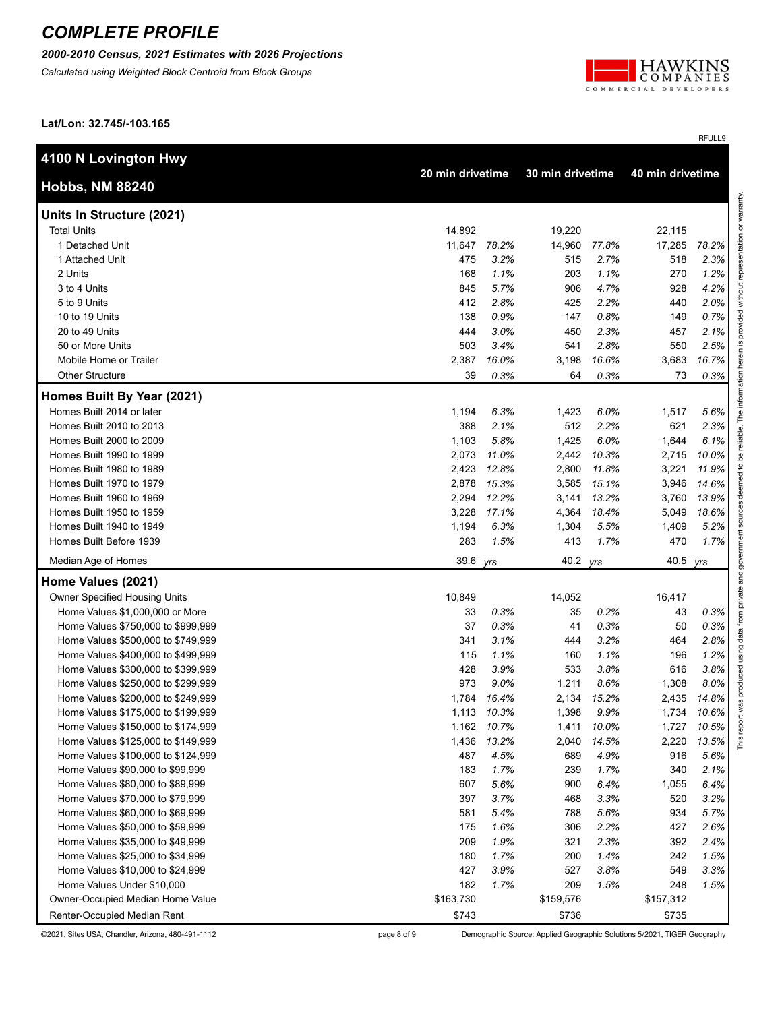*2000-2010 Census, 2021 Estimates with 2026 Projections*

*Calculated using Weighted Block Centroid from Block Groups*



RFULL9

**Lat/Lon: 32.745/-103.165**

| 4100 N Lovington Hwy               |           |                  |           |                                      |           |       |
|------------------------------------|-----------|------------------|-----------|--------------------------------------|-----------|-------|
| <b>Hobbs, NM 88240</b>             |           | 20 min drivetime |           | 40 min drivetime<br>30 min drivetime |           |       |
| Units In Structure (2021)          |           |                  |           |                                      |           |       |
| <b>Total Units</b>                 | 14,892    |                  | 19,220    |                                      | 22,115    |       |
| 1 Detached Unit                    | 11,647    | 78.2%            | 14,960    | 77.8%                                | 17,285    | 78.2% |
| 1 Attached Unit                    | 475       | 3.2%             | 515       | 2.7%                                 | 518       | 2.3%  |
| 2 Units                            | 168       | 1.1%             | 203       | 1.1%                                 | 270       | 1.2%  |
| 3 to 4 Units                       | 845       | 5.7%             | 906       | 4.7%                                 | 928       | 4.2%  |
| 5 to 9 Units                       | 412       | 2.8%             | 425       | 2.2%                                 | 440       | 2.0%  |
| 10 to 19 Units                     | 138       | 0.9%             | 147       | 0.8%                                 | 149       | 0.7%  |
| 20 to 49 Units                     | 444       | 3.0%             | 450       | 2.3%                                 | 457       | 2.1%  |
| 50 or More Units                   | 503       | 3.4%             | 541       | 2.8%                                 | 550       | 2.5%  |
| Mobile Home or Trailer             | 2,387     | 16.0%            | 3,198     | 16.6%                                | 3,683     | 16.7% |
| <b>Other Structure</b>             | 39        | 0.3%             | 64        | 0.3%                                 | 73        | 0.3%  |
| Homes Built By Year (2021)         |           |                  |           |                                      |           |       |
| Homes Built 2014 or later          | 1,194     | 6.3%             | 1,423     | 6.0%                                 | 1,517     | 5.6%  |
| Homes Built 2010 to 2013           | 388       | 2.1%             | 512       | 2.2%                                 | 621       | 2.3%  |
| Homes Built 2000 to 2009           | 1,103     | 5.8%             | 1,425     | 6.0%                                 | 1,644     | 6.1%  |
| Homes Built 1990 to 1999           | 2,073     | 11.0%            | 2,442     | 10.3%                                | 2,715     | 10.0% |
| Homes Built 1980 to 1989           | 2,423     | 12.8%            | 2,800     | 11.8%                                | 3,221     | 11.9% |
| Homes Built 1970 to 1979           | 2,878     | 15.3%            | 3,585     | 15.1%                                | 3,946     | 14.6% |
| Homes Built 1960 to 1969           | 2,294     | 12.2%            | 3,141     | 13.2%                                | 3,760     | 13.9% |
| Homes Built 1950 to 1959           | 3,228     | 17.1%            | 4,364     | 18.4%                                | 5,049     | 18.6% |
| Homes Built 1940 to 1949           | 1,194     | 6.3%             | 1,304     | 5.5%                                 | 1,409     | 5.2%  |
| Homes Built Before 1939            | 283       | 1.5%             | 413       | 1.7%                                 | 470       | 1.7%  |
| Median Age of Homes                | 39.6      | yrs              | 40.2 yrs  |                                      | 40.5 yrs  |       |
| Home Values (2021)                 |           |                  |           |                                      |           |       |
| Owner Specified Housing Units      | 10,849    |                  | 14,052    |                                      | 16,417    |       |
| Home Values \$1,000,000 or More    | 33        | 0.3%             | 35        | 0.2%                                 | 43        | 0.3%  |
| Home Values \$750,000 to \$999,999 | 37        | 0.3%             | 41        | 0.3%                                 | 50        | 0.3%  |
| Home Values \$500,000 to \$749,999 | 341       | 3.1%             | 444       | 3.2%                                 | 464       | 2.8%  |
| Home Values \$400,000 to \$499,999 | 115       | 1.1%             | 160       | 1.1%                                 | 196       | 1.2%  |
| Home Values \$300,000 to \$399,999 | 428       | 3.9%             | 533       | 3.8%                                 | 616       | 3.8%  |
| Home Values \$250,000 to \$299,999 | 973       | 9.0%             | 1,211     | 8.6%                                 | 1,308     | 8.0%  |
| Home Values \$200,000 to \$249,999 | 1,784     | 16.4%            | 2,134     | 15.2%                                | 2,435     | 14.8% |
| Home Values \$175,000 to \$199,999 | 1,113     | 10.3%            | 1,398     | 9.9%                                 | 1,734     | 10.6% |
| Home Values \$150,000 to \$174,999 |           | 1,162 10.7%      | 1,411     | 10.0%                                | 1,727     | 10.5% |
| Home Values \$125,000 to \$149,999 | 1,436     | 13.2%            | 2,040     | 14.5%                                | 2,220     | 13.5% |
| Home Values \$100,000 to \$124,999 | 487       | 4.5%             | 689       | 4.9%                                 | 916       | 5.6%  |
| Home Values \$90,000 to \$99,999   | 183       | 1.7%             | 239       | 1.7%                                 | 340       | 2.1%  |
| Home Values \$80,000 to \$89,999   | 607       | 5.6%             | 900       | 6.4%                                 | 1,055     | 6.4%  |
| Home Values \$70,000 to \$79,999   | 397       | 3.7%             | 468       | 3.3%                                 | 520       | 3.2%  |
| Home Values \$60,000 to \$69,999   | 581       | 5.4%             | 788       | 5.6%                                 | 934       | 5.7%  |
| Home Values \$50,000 to \$59,999   | 175       | 1.6%             | 306       | 2.2%                                 | 427       | 2.6%  |
| Home Values \$35,000 to \$49,999   | 209       | 1.9%             | 321       | 2.3%                                 | 392       | 2.4%  |
| Home Values \$25,000 to \$34,999   | 180       | 1.7%             | 200       | 1.4%                                 | 242       | 1.5%  |
| Home Values \$10,000 to \$24,999   | 427       | 3.9%             | 527       | 3.8%                                 | 549       | 3.3%  |
| Home Values Under \$10,000         | 182       | 1.7%             | 209       | 1.5%                                 | 248       | 1.5%  |
| Owner-Occupied Median Home Value   | \$163,730 |                  | \$159,576 |                                      | \$157,312 |       |
| Renter-Occupied Median Rent        | \$743     |                  | \$736     |                                      | \$735     |       |

©2021, Sites USA, Chandler, Arizona, 480-491-1112 page 8 of 9 Demographic Source: Applied Geographic Solutions 5/2021, TIGER Geography